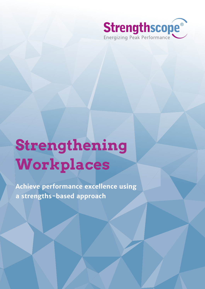

# **Strengthening Workplaces**

**Achieve performance excellence using a strengths-based approach**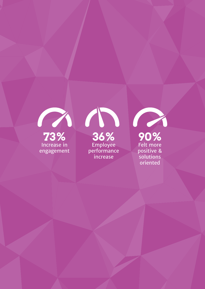

Increase in engagement

**73% 36% 90%** Employee performance increase

Felt more positive & solutions oriented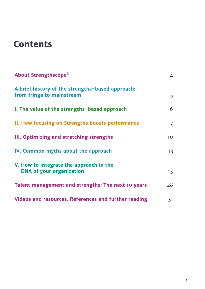# **Contents**

| About Strengthscope®                                                          | 4              |
|-------------------------------------------------------------------------------|----------------|
| A brief history of the strengths-based approach:<br>from fringe to mainstream | 5              |
| I. The value of the strengths-based approach                                  | 6              |
| II. How focusing on Strengths boosts performance                              | $\overline{7}$ |
| III. Optimizing and stretching strengths                                      | 10             |
| IV. Common myths about the approach                                           | 13             |
| V. How to integrate the approach in the<br><b>DNA of your organization</b>    | 15             |
| Talent management and strengths: The next 10 years                            | 28             |
| Videos and resources. References and further reading                          | 31             |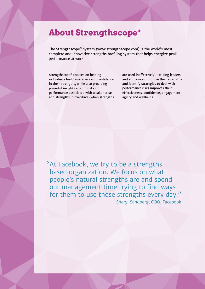### **About Strengthscope®**

The Strengthscope® system (www.strengthscope.com) is the world's most complete and innovative strengths profiling system that helps energize peak performance at work.

Strengthscope® focuses on helping individuals build awareness and confidence in their strengths, while also providing powerful insights around risks to performance associated with weaker areas and strengths in overdrive (when strengths are used ineffectively). Helping leaders and employees optimize their strengths and identify strategies to deal with performance risks improves their effectiveness, confidence, engagement, agility and wellbeing.

"At Facebook, we try to be a strengthsbased organization. We focus on what people's natural strengths are and spend our management time trying to find ways for them to use those strengths every day." Sheryl Sandberg, COO, Facebook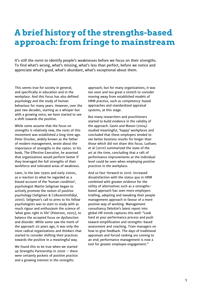# **A brief history of the strengths-based approach: from fringe to mainstream**

It's still the norm to identify people's weaknesses before we focus on their strengths. To find what's wrong, what's missing, what's less than perfect, before we notice and appreciate what's good, what's abundant, what's exceptional about them.

This seems true for society in general, and specifically in education and in the workplace. And this focus has also defined psychology and the study of human behaviour for many years. However, over the past two decades, starting as a whisper but with a growing voice, we have started to see a shift towards the positive.

While some assume that the focus on strengths is relatively new, the roots of this movement was established a long time ago. Peter Drucker, widely known as the father of modern management, wrote about the importance of strengths in the 1960s. In his book, The Effective Executive, he asserted that organizations would perform better if they leveraged the full strengths of their workforce and tolerated areas of weakness.

Later, in the late 1990s and early 2000s, as a reaction to what he regarded as a biased account of the 'human condition', psychologist Martin Seligman began to actively promote the notion of positive psychology (Seligman & Csíkszentmihályi, 2000). Seligman's call to arms to his fellow psychologists was to start to study with as much rigour and enthusiasm the science of 'what goes right in life' (Peterson, 2005), to balance the accepted focus on dysfunction and disorder. While some saw the merit of the approach 20 years ago, it was only the most radical organizations and thinkers that started to consider shifting their practices towards the positive in a meaningful way.

We found this to be true when we started up Strengths Partnership in 2006 – there were certainly pockets of positive practice and a growing interest in the strengths

approach, but for many organizations, it was too soon and too great a stretch to consider moving away from established models of HRM practice, such as competency-based approaches and standardized appraisal systems, at this stage.

But many researchers and practitioners started to build evidence in the validity of the approach. Gavin and Mason (2004) studied meaningful, 'happy' workplaces and concluded that these employers tended to see better business results for longer than those which did not share this focus. Luthans et al (2010) summarized the state of the art at the time, concluding that a raft of performance improvements at the individual level could be seen when employing positive practices in the workplace.

And so fast-forward to 2016. Increased dissatisfaction with the status quo in HRM combined with greater evidence for the utility of alternatives such as a strengthsbased approach has seen more employers trialling, adopting and tweaking their people management approach in favour of a more positive way of working. Management consultancy Deloitte's latest report into global HR trends captures this well: "Look hard at your performance process and push toward simplification and strengths-based assessment and coaching. Train managers on how to give feedback. The days of traditional appraisals and forced ranking are coming to an end; performance management is now a tool for greater employee engagement."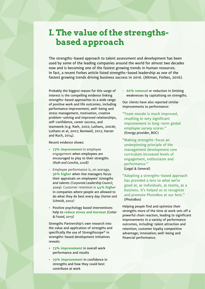### <span id="page-5-0"></span>**I. The value of the strengthsbased approach**

The strengths-based approach to talent assessment and development has been used by some of the leading companies around the world for almost two decades now and is becoming one of the fastest growing trends in human resources. In fact, a recent Forbes article listed strengths-based leadership as one of the fastest growing trends driving business success in 2016. (Altman, Forbes, 2016).

Probably the biggest reason for this surge of interest is the compelling evidence linking strengths-based approaches to a wide range of positive work and life outcomes, including performance improvement, well-being and stress management, motivation, creative problem-solving and improved relationships, self-confidence, career success, and teamwork (e.g. Rath, 2002; Luthans, 2002b; Luthans et al, 2007; Boniwell, 2012; Harzer and Ruch, 2014).

Recent evidence shows:

- **73% improvement** in employee engagement when employees are encouraged to play to their strengths *(Rath and Conchie, 2008)*
- Employee performance is, on average, **36% higher** when line managers focus their appraisals on employees' strengths and talents *(Corporate Leadership Council, 2005).* Customer retention is **44% higher** in companies where people are allowed to do what they do best every day *(Harter and Schmidt, 2002)*
- Positive psychology based interventions help to **reduce stress and burnout** *(Cotter & Fouad, 2013)*

Strengths Partnership's own research into the value and application of strengths and specifically the use of Strengthscope® in strengths-based development initiatives reveals:

- **• 73% improvement** in overall work performance and results
- **79% improvement** in confidence in strengths and how they could best contribute at work

• **66% removal** or reduction in limiting weaknesses by capitalising on strengths.

Our clients have also reported similar improvements to performance:

- "Team morale is much improved, resulting in very significant improvement in long-term global employee survey scores." (Energy provider, BOC)
- "Making strengths-focus an underpinning principle of the management development core curriculum increased levels of engagement, enthusiasm and performance." (Legal & General)
- "Adopting a strengths-based approach has provided a lens to what we're good at, as individuals, as teams, as a business. It's helped us to recognize and promote PhotoBox at our best." (PhotoBox)

Helping people find and optimize their strengths more of the time at work sets off a powerful chain reaction, leading to significant improvements in a variety of performance outcomes, including: talent attraction and retention; customer loyalty competitive advantage; innovation; well-being and financial performance.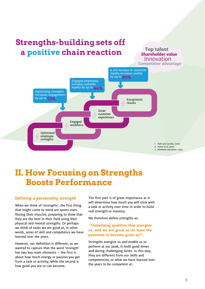### <span id="page-6-0"></span>**Strengths-building sets of the sets of the sets of the sets of the sets of the sets of the sets of the sets of the sets of the sets of the sets of the sets of the sets of the sets of the sets of the sets of the sets of th a positive chain reaction a positive chain reaction Strengths-building sets off**

**Top talent Shareholder value** Innovation **Competitive advantage**



### **II. How Focusing on Strengths Boosts Performance**

#### **Defining a personality strength**

When we think of 'strengths', the first thing that might come to mind are sports stars flexing their muscles, preparing to show that they are the best in their field using their physical and mental strengths. Or perhaps we think of tasks we are good at, in other words, areas of skill and competence we have learned over the years.

However, our definition is different, as we wanted to capture that the word 'strength' has two key main elements  $-$  the first is about how much energy or passion you get from a task or activity, while the second is how good you are or can become.

The first part is of great importance as it will determine how much you will stick with a task or activity over time in order to build real strength or mastery.

We therefore define strengths as:

#### **"Underlying qualities that energize us, and we are great at (or have the potential to become great at)".**

Strengths energize us and enable us to perform at our peak, in both good times and during challenging times. In this way, they are different from our skills and competencies, or what we have learned over the years to be competent at.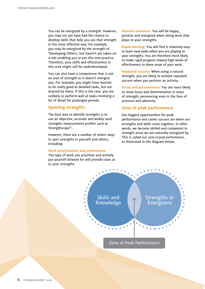You can be energized by a strength. However, you may not yet have had the chance to develop skills that help you use that strength in the most effective way. For example, you may be energized by the strength of 'Developing Others', but haven't yet taken on a role enabling you to put this into practice. Therefore, your skills and effectiveness in this area might still be underdeveloped.

You can also have a competence that is not an area of strength as it doesn't energize you. For example, you might have learned to be really good at detailed tasks, but are drained by these. If this is the case, you are unlikely to perform well at tasks involving a lot of detail for prolonged periods.

#### **Spotting strengths**

The best way to identify strengths is to use an objective, accurate and widely used strengths measurement profiler such as Strengthscope®.

However, there are a number of others ways to spot strengths in yourself and others, including:

#### **Work prioritization and preferences:**

The type of work you prioritize and actively put yourself forward for will provide clues as to your strengths.

**Positive emotions:** You will be happy, positive and energized when doing work that plays to your strengths.

**Rapid learning:** You will find it relatively easy to learn new tasks when you are playing to your strengths. You are therefore more likely to make rapid progress toward high levels of effectiveness in these areas of your work.

**Repeated success:** When using a natural strength, you are likely to achieve repeated success when you perform an activity.

**Focus and perseverance:** You are more likely to show focus and determination in areas of strength, persevering even in the face of pressure and adversity.

#### **Zone of peak performance**

Our biggest opportunities for peak performance and career success are when our strengths and skills come together, in other words, we become skilled and competent in strength areas we are naturally energized by. This is called our *zone of peak performance,* as illustrated in the diagram below.

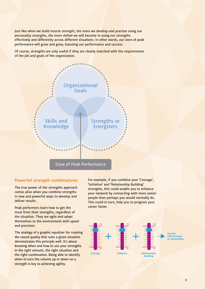Just like when we build muscle strength, the more we develop and practise using our personality strengths, the more skilled we will become in using our strengths effectively and differently across different situations. In other words, our zone of peak performance will grow and grow, boosting our performance and success.

Of course, strengths are only useful if they are closely matched with the requirements of the job and goals of the organization.



#### **Powerful strength combinations**

The true power of the strengths approach comes alive when you combine strengths in new and powerful ways to develop and deliver results.

Peak performers learn how to get the most from their strengths, regardless of the situation. They are agile and adapt themselves to the environment with speed and precision.

The analogy of a graphic equalizer for creating the sound quality that suits a given situation demonstrates this principle well. It's about knowing when and how to use your strengths in the right amount, the right situation and the right combination. Being able to identify when to turn the volume up or down on a strength is key to achieving agility.

For example, if you combine your 'Courage', 'Initiative' and 'Relationship Building' strengths, this could enable you to enhance your network by connecting with more senior people than perhaps you would normally do. This could in turn, help you to progress your career faster.

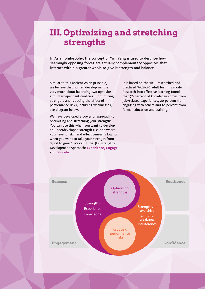### **III. Optimizing and stretching strengths**

In [Asian philosophy,](http://en.wikipedia.org/wiki/Asian_philosophy) the concept of Yin-Yang is used to describe how seemingly opposing forces are actually complementary opposites that interact within a greater whole to give it strength and balance.

Similar to this ancient Asian principle, we believe that human development is very much about balancing two opposite and interdependent dualities – optimizing strengths and reducing the effect of performance risks, including weaknesses, see diagram below.

<span id="page-9-0"></span>STRENGTHENING WORKPLACES

STRENGTHSCOPE® 2016

We have developed a powerful approach to optimizing and stretching your strengths. You can use this when you want to develop an underdeveloped strength (i.e. one where your level of skill and effectiveness is low) or when you want to take your strength from 'good to great'. We call it the 3Es Strengths Development Approach: **Experience, Engage** and **Educate**.

It is based on the well-researched and practised 70:20:10 adult learning model. Research into effective learning found that 70 percent of knowledge comes from job-related experiences, 20 percent from engaging with others and 10 percent from formal education and training.

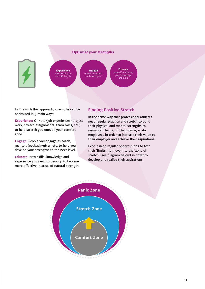



**Educate** yourself to develop your knowledge **Experience** new learning on and off the job **Engage** others to support and coach you

In line with this approach, strengths can be optimized in 3 main ways:

Experience: On-the-job experiences (project are consider the comparative control of the virtual sets of the virtual sets of the virtual sets of the virtual sets of the virtual sets of the virtual sets of the virtual sets of the virtual sets of the virtual sets of th to help stretch you outside your comfort zone. team role

**Engage:** People you engage as coach, mentor, feedback-giver, etc. to help you develop your strengths to the next level.

**Educate:** New skills, knowledge and experience you need to develop to become more effective in areas of natural strength.

#### **Finding Positive Stretch**

In the same way that professional athletes **Draw on Develop**  need regular practice and stretch to build their physical and mental strengths to remain at the top of their game, so do employees in order to increase their value to their employer and achieve their aspirations. need regular practice and stre

and skills

People need regular opportunities to test their 'limits', to move into the 'zone of stretch' (see diagram below) in order to develop and realize their aspirations.

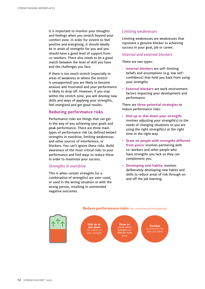It is important to monitor your thoughts and feelings when you stretch beyond your comfort zone. In order for stretch to feel positive and energizing, it should ideally be in areas of strengths for you and you should have a good level of support from co-workers. There also needs to be a good match between the level of skill you have and the challenges you face.

If there is too much stretch (especially in areas of weakness or where the stretch is unsupported) you are likely to become anxious and frustrated and your performance is likely to drop off. However, if you stay within the stretch zone, you will develop new skills and ways of applying your strengths, feel energized and get good results.

#### **Reducing performance risks**

Performance risks are things that can get in the way of you achieving your goals and peak performance. There are three main types of performance risk (as defined below): strengths in overdrive, limiting weaknesses and other sources of interference, or blockers. You can't ignore these risks. Build awareness of the most critical risks to your performance and find ways to reduce these in order to maximize your success.

#### *Strengths in overdrive*

This is when certain strengths (or a combination of strengths) are over-used, **Experience** or used in the wrong situation or with the wrong person, resulting in unintended negative outcomes. ación de *il* 

#### *Limiting weaknesses*

Limiting weaknesses are weaknesses that represent a genuine blocker to achieving success in your goal, job or career.

#### *Internal and external blockers*

There are two types:

- **Internal blockers** are self-limiting beliefs and assumptions (e.g. low selfconfidence) that hold you back from using your strengths
- **External blockers** are work environment factors impacting your development and performance

There are **three potential strategies** to reduce performance risks:

- **Dial up or dial down your strength:** involves adjusting your strength(s) to the needs of changing situations so you are using the right strength(s) at the right time in the right way.
- **Draw on people with strengths different from yours:** involves partnering with co-workers and other people who have strengths you lack so they can complement you.
	- **Developing new habits:** involves deliberately developing new habits and skills to reduce areas of risk through on and off the job learning.

#### **Reduce performance risks** (inc. overdrive and weaknesses)

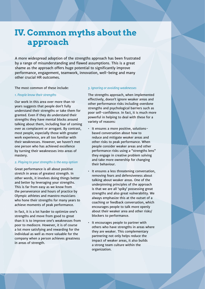### <span id="page-12-0"></span>**IV. Common myths about the approach**

A more widespread adoption of the strengths approach has been frustrated by a range of misunderstanding and flawed assumptions. This is a great shame as the approach offers huge potential to significantly improve performance, engagement, teamwork, innovation, well-being and many other crucial HR outcomes.

The most common of these include:

#### *1. People know their strengths*

Our work in this area over more than 10 years suggests that people don't fully understand their strengths or take them for granted. Even if they do understand their strengths they have mental blocks around talking about them, including fear of coming over as complacent or arrogant. By contrast, most people, especially those with greater work experience, are all too familiar with their weaknesses. However, we haven't met one person who has achieved excellence by turning their weaknesses into areas of mastery.

#### *2. Playing to your strengths is the easy option*

Great performance is all about positive stretch in areas of greatest strength. In other words, it involves doing things better and better by leveraging your strengths. This is far from easy as we know from the perseverance and hours of practice by Olympic athletes and maestro musicians who hone their strengths for many years to achieve moments of peak performance.

In fact, it is a lot harder to optimize one's strengths and move from good to great than it is to improve one's weaknesses from poor to mediocre. However, it is of course a lot more satisfying and rewarding for the individual as well as more valuable for the company when a person achieves greatness in areas of strength.

#### *3. Ignoring or avoiding weaknesses*

The strengths approach, when implemented effectively, doesn't ignore weaker areas and other performance risks including overdone strengths and psychological barriers such as poor self-confidence. In fact, it is much more powerful in helping to deal with these for a variety of reasons:

- It ensures a more positive, solutionsbased conversation about how to reduce and mitigate weaker areas and other risks to peak performance. When people consider weaker areas and other performance risks using a "strengths lens" they engage in creative problem solving and take more ownership for changing their behaviour.
- It ensures a less threatening conversation, removing fears and defensiveness about talking about weaker areas. One of the underpinning principles of the approach is that we are all 'spiky' possessing great strengths and also great vulnerability. We always emphasize this at the outset of a coaching or feedback conversation, which encourages people to talk more openly about their weaker area and other risks/ blockers to performance.
- It encourages people to partner with others who have strengths in areas where they are weaker. This complementary partnering not only helps reduce the impact of weaker areas, it also builds a strong team culture within the organization.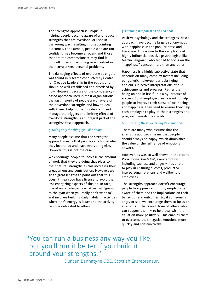The strengths approach is unique in helping people become aware of and reduce strengths that are overdone, or used in the wrong way, resulting in disappointing outcomes. For example, people who are too confident may become arrogant and those that are too compassionate may find it difficult to avoid becoming overinvolved in their co-workers' personal problems.

The damaging effects of overdone strengths was found in research conducted by Centre for Creative Leadership in the 1990's and should be well established and practised by now. However, because of the competencybased approach used in most organizations, the vast majority of people are unaware of their overdone strengths and how to deal with them. Helping them understand and manage the triggers and limiting effects of overdone strengths is an integral part of the strengths-based approach.

#### *4. Doing only the things you like doing*

Many people assume that the strengths approach means that people can choose what they love to do and leave everything else. However, this is not the case.

We encourage people to increase the amount of work that they are doing that plays to their natural strengths as this increases their engagement and contribution. However, we go to great lengths to point out that this doesn't mean you have license to avoid the less energizing aspects of the job. In fact, one of our strategies is what we call "going to the gym when you really don't want to" and involves building daily habits in activities where one's energy is lower and the activity can't be delegated to others.

#### *5. Pursuing happiness as an end goal*

Positive psychology and the strengths-based approach have become largely synonymous with happiness in the popular press and literature. This is due to the early focus of highly influential positive psychologists like Martin Seligman, who tended to focus on the "happiness" concept more than any other.

Happiness is a highly subjective state that depends on many complex factors including our genetic make-up, our upbringing and our subjective interpretations of our achievements and progress. Rather than being an end in itself, it is a by-product of success. So, if employers really want to help people to improve their sense of well-being and happiness, they need to ensure they help each employee to play to their strengths and progress towards their goals.

#### *6. Dismissing the value of negative emotions*

There are many who assume that the strengths approach means that people should always be happy, which diminishes the value of the full range of emotions at work.

However, as was so well shown in the recent Pixar movie, *Inside Out,* every emotion – including sadness and anger – has a role to play in ensuring success, productive interpersonal relations and wellbeing of employees.

The strengths approach doesn't encourage people to suppress emotions, simply to be aware of them and the implications on their behaviour and outcomes. So, if someone is angry or sad, we encourage them to focus on strengths – theirs and those of others who can support them  $-$  to help deal with the situation more positively. This enables them to overcome their negative emotions more quickly and constructively.

"You can run a business any way you like, but you'll run it better if you build it around your strengths."

Duncan Bannatyne OBE, Scottish Entrepreneur.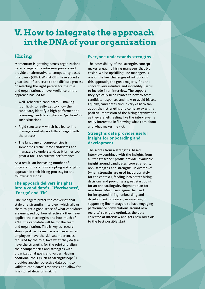# <span id="page-14-0"></span>**V. How to integrate the approach in the DNA of your organization**

#### **Hiring**

Momentum is growing across organizations to re-energize the interview process and provide an alternative to competency based interviews (CBIs). Whilst CBIs have added a great deal of structure to the difficult process of selecting the right person for the role and organization, an over-reliance on the approach has led to:

- Well-rehearsed candidates making it difficult to really get to know the candidate, identify a high performer and favouring candidates who can 'perform' in such situations
- $\cdot$  Rigid structure which has led to line managers not always fully engaged with the process
- The language of competencies is sometimes difficult for candidates and managers to understand, as it brings too great a focus on current performance.

As a result, an increasing number of organizations are now adopting a strengths approach in their hiring process, for the following reasons:

#### **The appoach delivers insights into a candidate's 'Effectiveness', 'Energy' and 'Fit'**

Line managers prefer the conversational style of a strengths interview, which allows them to get a good sense of what candidates are energized by, how effectively they have applied their strengths and how much of a 'fit' the candidate will be for the team and organization. This is key as research shows peak performance is achieved when employees have the skills/competencies required by the role, love what they do (i.e. have the strengths for the role) and align their competencies and strengths with organizational goals and values. Having additional tools (such as Strengthscope®) provides another objective data point to validate candidates' responses and allow for fine-tuned decision making.

#### **Everyone understands strengths**

The accessibility of the strengths concept makes engaging hiring managers that bit easier. Whilst upskilling line managers is one of the key challenges of introducing this approach, the great majority find the concept very intuitive and incredibly useful to include in an interview. The support they typically need relates to how to score candidate responses and how to avoid biases. Equally, candidates find it very easy to talk about their strengths and come away with a positive impression of the hiring organization as they are left feeling like the interviewer is really interested in 'knowing what I am about and what makes me tick'.

#### **Strengths data provides useful insight for onboarding and development**

The scores from a strengths-based interview combined with the insights from a Strengthscope® profile provide invaluable insight around candidates' core strengths, non-strengths and strengths 'in overdrive' (when strengths are used inappropriately for the context), feeding into better hiring decisions and providing a great start point for an onboarding/development plan for new hires. Most users agree the need for integrated hiring, onboarding and development processes, so investing in supporting line managers to have engaging performance conversations around new recruits' strengths optimizes the data collected at interview and gets new hires off to the best possible start.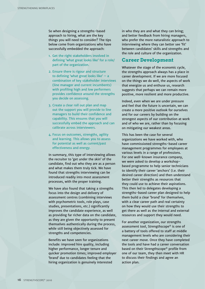So when designing a strengths-based approach to hiring, what are the key things you will need to consider? The tips below come from organizations who have successfully embedded the approach:

- 1. Get the right stakeholders involved in defining 'what great looks like' for a role/ part of the organization.
- 2. Ensure there is rigour and structure to defining 'what great looks like'  $-$  a combination of key stakeholder interviews (line manager and current incumbents) with profiling high and low performers provides confidence around the strengths you decide on assessing.
- 3. Create a clear roll out plan and map out the support you will provide to line managers to build their confidence and capability. This ensures that you will successfully embed the approach and can calibrate across interviewers.
- 4. Focus on outcomes, strengths, agility and learning. This allows you to assess for potential as well as current/past effectiveness and energy.

In summary, this type of interviewing allows the recruiter to 'get under the skin' of the candidate, find out who they are as a person and what makes them truly tick. We have found that strengths interviewing can be introduced readily into most assessment processes, with the proper training.

We have also found that taking a strengths focus into the design and delivery of assessment centres (combining interviews with psychometric tools, role plays, case studies, presentations, etc.) significantly improves the candidate experience, as well as providing far richer data on the candidate, as they are given the opportunity to present themselves authentically during the process, while still being objectively assessed for strengths and competencies.

Benefits we have seen for organizations include: improved hire quality, including higher performance, longer tenure and quicker promotion times; improved employer 'brand' due to candidates feeling that the hiring organization is genuinely interested

in who they are and what they can bring; and better feedback from hiring managers, who prefer the more naturalistic approach to interviewing where they can better see 'fit' between candidates' skills and strengths and the role and culture of the organization.

#### **Career Development**

Whatever the stage of the economic cycle, the strengths approach always has a place in career development. If we are more focused on the things we do well, the aspects of work that energize us and enthuse us, research suggests that perhaps we can remain more positive, more resilient and more productive.

Indeed, even when we are under pressure and feel that the future is uncertain, we can create a more positive outlook for ourselves and for our careers by building on the strongest aspects of our contribution at work and of who we are, rather than by focusing on mitigating our weakest areas.

This has been the case for several organizations we have worked with, who have commissioned strengths-based career management programmes for employees at various levels in a range of professions. For one well-known insurance company, we were asked to develop a workshopbased programme to help senior technicians to identify their career 'anchors' (i.e. their desired career direction) and then understand better their strengths as resources that they could use to achieve their aspirations. This then led to delegates developing a strengths-based career plan designed to help them build a clear 'brand' for themselves, with a clear career path and real certainty on how they would use their strengths to get there as well as the internal and external resources and support they would need.

For another organization, our strengths assessment tool, Strengthscope® is one of a battery of tools offered to staff at middle management levels who are considering their next career move. Once they have completed the tools and have had a career conversation based on their Strengthscope® profile from one of our team, they then meet with HR to discuss their findings and agree an action plan.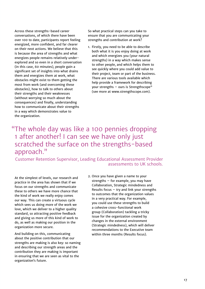Across these strengths-based career conversations, of which there have been over 100 to date, participants report feeling energized, more confident, and far clearer on their next actions. We believe that this is because the area of strengths and what energizes people remains relatively underexplored and so even in a short conversation (in this case, 60 minutes), people gain a significant set of insights into what drains them and energizes them at work, what obstacles might exist to them getting the most from work (and overcoming these obstacles), how to talk to others about their strengths and their weaknesses (without worrying so much about the consequences) and finally, understanding how to communicate about their strengths in a way which demonstrates value to the organization.

So what practical steps can you take to ensure that you are communicating your strengths and contribution at work?

1. Firstly, you need to be able to describe both what it is you enjoy doing at work and which energizes you (your natural strengths) in a way which makes sense to other people, and which helps them to see quickly where you could add value to their project, team or part of the business. There are various tools available which help provide a framework for describing your strengths – ours is Strengthscope® (see more at [www.strengthscope.com](http://www.strengthscope.com)).

### "The whole day was like a 100 pennies dropping 1 after another! I can see we have only just scratched the surface on the strengths-based approach."

 Customer Retention Supervisor, Leading Educational Assessment Provider assessments to UK schools.

At the simplest of levels, our research and practice in the area has shown that if we focus on our strengths and communicate these to others we have more chance that the kind of work we really enjoy comes our way. This can create a virtuous cycle which sees us doing more of the work we love, which we deliver to a higher quality standard, so attracting positive feedback and giving us more of this kind of work to do, as well as making our position in the organization more secure.

And building on this, communicating about the positive contribution that our strengths are making is also key: so naming and describing our strength areas and the contribution they are making is important in ensuring that we are seen as vital to the organization's future.

2. Once you have given a name to your strengths – for example, you may have Collaboration, Strategic mindedness and Results focus  $-$  try and link your strengths to outcomes that the organization values in a very practical way. For example, you could use these strengths to build a cohesive cross-functional work group (Collaboration) tackling a tricky issue for the organization created by changes in the external environment (Strategic mindedness), which will deliver recommendations to the Executive team within three months (Results focus).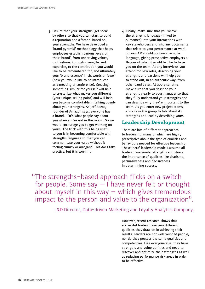- 3. Ensure that your strengths 'get seen' by others so that you can start to build a reputation and a 'brand' based on your strengths. We have developed a 'brand pyramid' methodology that helps employees establish various levels of their 'brand', from underlying values/ motivations, through strengths and expertise, to the contribution you would like to be remembered for, and ultimately your 'brand essence' in six words or fewer (how you would like to be introduced at a meeting or conference). Creating something similar for yourself will help to crystallize what makes you different (your unique selling point) and will help you become comfortable in talking openly about your strengths. As Jeff Bezos, founder of Amazon says, everyone has a brand... "It's what people say about you when you're not in the room". So we would encourage you to get working on yours. The trick with this being useful to you is in becoming comfortable with strengths language so that you can communicate your value without it feeling clumsy or arrogant. This does take practice, but it is worth it.
- 4. Finally, make sure that you weave the strengths language (linked to outcomes) into your interactions with key stakeholders and into any documents that relate to your performance at work. So your CV should contain strengths language, giving prospective employers a flavour of what it would be like to have you on the team. At any interviews you attend for new roles, describing your strengths and passions will help you to stand out, in an authentic way, from other candidates. At appraisal time, make sure that you describe your strengths clearly to your manager so that they fully understand your strengths and can describe why they're important to the team. As you enter new project teams, encourage the group to talk about its strengths and lead by describing yours.

#### **Leadership Development**

There are lots of different approaches to leadership, many of which are highly prescriptive about the type of qualities and behaviours needed for effective leadership. These 'hero' leadership models assume all leaders have similar strengths and stress the importance of qualities like charisma, persuasiveness and decisiveness in determining success.

"The strengths-based approach flicks on a switch for people. Some say  $-1$  have never felt or thought about myself in this way  $-$  which gives tremendous impact to the person and value to the organization".

L&D Director, Data-driven Marketing and Loyalty Analytics Company.

However, recent research shows that successful leaders have very different qualities they draw on in achieving their results. Leaders are not well rounded people, nor do they possess the same qualities and competencies. Like everyone else, they have strengths and vulnerabilities and need to discover and optimize their strengths as well as reducing performance risk areas in order to be effective.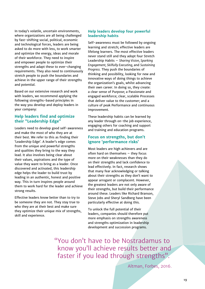In today's volatile, uncertain environments, where organizations are all being challenged by fast-shifting social, political, economic and technological forces, leaders are being asked to do more with less, to work smarter and optimize the energy, ideas and morale of their workforce. They need to inspire and empower people to optimize their strengths and adapt these to ever-changing requirements. They also need to continuously stretch people to push the boundaries and achieve in the upper range of their strengths and potential.

Based on our extensive research and work with leaders, we recommend applying the following strengths-based principles in the way you develop and deploy leaders in your company:

#### **Help leaders find and optimize their "Leadership Edge"**

Leaders need to develop good self-awareness and make the most of who they are at their best. We refer to this as finding their 'Leadership Edge'. A leader's edge comes from the unique and powerful strengths and qualities they bring to the way they lead. It also involves being clear about their values, aspirations and the type of value they want to bring as a leader. Once discovered and activated, this leadership edge helps the leader to build trust by leading in an authentic, honest and positive way. This in turn inspires people around them to work hard for the leader and achieve strong results.

Effective leaders know better than to try to be someone they are not. They stay true to who they are at their best and make sure they optimize their unique mix of strengths, skill and experience.

#### **Help leaders develop four powerful leadership habits**

Self-awareness must be followed by ongoing learning and stretch; effective leaders are lifelong learners. The most effective leaders never stand still and they adopt four Stretch Leadership Habits – *Sharing Vision, Sparking Engagement, Skilfully Executing,* and *Sustaining Progress.* They push the boundaries of thinking and possibility, looking for new and innovative ways of doing things to achieve the organization's goals, whilst advancing their own career. In doing so, they create: a clear sense of Purpose; a Passionate and engaged workforce; clear, scalable Processes that deliver value to the customer; and a culture of peak Performance and continuous improvement.

These leadership habits can be learned by any leader through on-the job experience, engaging others for coaching and support and training and education programs.

#### **Focus on strengths, but don't ignore 'performance risks'**

Most leaders are high achievers and are often hard on themselves – they focus more on their weaknesses than they do on their strengths and lack confidence to lead effectively. In fact, research shows that many fear acknowledging or talking about their strengths as they don't want to appear arrogant or complacent. However, the greatest leaders are not only aware of their strengths, but build their performance around these. Leaders like Richard Branson, Steve Jobs and Sheryl Sandberg have been particularly effective at doing this.

To unlock the full potential of their leaders, companies should therefore put more emphasis on strengths awareness and strengths optimization in leadership development and succession programs.

"You don't have to be Nostradamus to know you'll achieve results better and faster if you lead through strengths".

Altman, Forbes, 2016.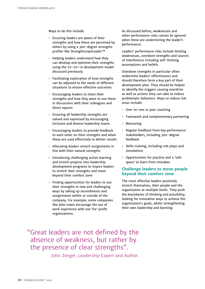Ways to do this include:

- Ensuring leaders are aware of their strengths and how these are perceived by others by using a 360-degree strengths profiler like StrengthscopeLeader™
- Helping leaders understand how they can develop and optimize their strengths using the 70-20-10 development model discussed previously
- Facilitating exploration of how strengths can be adjusted to the needs of different situations to ensure effective outcomes
- Encouraging leaders to share their strengths and how they want to use these in discussions with their colleagues and direct reports
- Ensuring all leadership strengths are valued and expressed by encouraging inclusive and diverse leadership teams
- Encouraging leaders to provide feedback to each other on their strengths and when these are used effectively to deliver results
- Allocating leaders stretch assignments in line with their natural strengths
- Introducing challenging action learning and stretch projects into leadership development programs to inspire leaders to stretch their strengths and move beyond their comfort zone
- Finding opportunities for leaders to use their strengths in new and challenging ways by taking up secondments and assignments within or outside of the company. For example, some companies like John Lewis encourage the use of work experience with not-for-profit organizations.

As discussed before, weaknesses and other performance risks cannot be ignored when these are undermining the leader's performance.

Leaders' performance risks include limiting weaknesses, overdone strengths and sources of interference including self-limiting assumptions and beliefs.

Overdone strengths in particular often undermine leaders' effectiveness and should therefore form a key part of their development plan. They should be helped to identify the triggers causing overdrive as well as actions they can take to reduce problematic behaviors. Ways to reduce risk areas include:

- One-to-one or peer coaching
- Teamwork and complementary partnering
- Mentoring
- Regular feedback from key performance stakeholders, including 360-degree feedback
- Skills training, including role plays and simulations
- Opportunities for practice and a 'safe space' to learn from mistakes

#### **Challenge leaders to move people beyond their comfort zone**

The most effective leaders positively stretch themselves, their people and the organization at multiple levels. They push the boundaries of thinking and possibility, looking for innovative ways to achieve the organization's goals, whilst strengthening their own leadership and learning.

"Great leaders are not defined by the absence of weakness, but rather by the presence of clear strengths".

John Zenger, Leadership Expert and Author.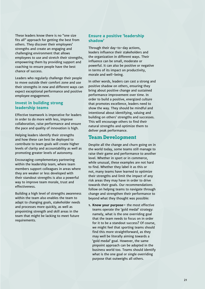These leaders know there is no "one size fits all" approach for getting the best from others. They discover their employees' strengths and create an engaging and challenging environment that allows employees to use and stretch their strengths, empowering them by providing support and coaching to ensure people have the best chance of success.

Leaders who regularly challenge their people to move outside their comfort zone and use their strengths in new and different ways can expect exceptional performance and positive employee engagement.

#### **Invest in building strong leadership teams**

Effective teamwork is imperative for leaders in order to do more with less, improve collaboration, raise performance and ensure the pace and quality of innovation is high.

Helping leaders identify their strengths and how these can best be deployed to contribute to team goals will create higher levels of clarity and accountability as well as promoting greater levels of autonomy.

Encouraging complementary partnering within the leadership team, where team members support colleagues in areas where they are weaker or less developed with their standout strengths is also a powerful way to improve team morale, trust and effectiveness.

Building a high level of strengths awareness within the team also enables the team to adapt to changing goals, stakeholder needs and processes more quickly, as well as pinpointing strength and skill areas in the team that might be lacking to meet future requirements.

#### **Ensure a positive 'leadership shadow'**

Through their day-to-day actions, leaders influence their stakeholders and the organization in different ways. Their influence can be small, moderate or powerful. It can also be positive or negative in terms of its impact on productivity, morale and well-being.

In other words, leaders can cast a strong and positive shadow on others, ensuring they bring about positive change and sustained performance improvement over time. In order to build a positive, energized culture that promotes excellence, leaders need to show the way. They should be mindful and intentional about identifying, valuing and building on others' strengths and successes. This will encourage others to find their natural strengths and optimize them to deliver peak performance.

#### **Team Development**

Despite all the change and churn going on in the world today, some teams still manage to raise their game and performance to another level. Whether in sport or in commerce, while unusual, these examples are not hard to find. Whether they label it as this or not, many teams have learned to optimize their strengths and limit the impact of any risk areas they may have in order to drive towards their goals. Our recommendations follow on helping teams to navigate through change and strengthen their performance to beyond what they thought was possible:

**1. Know your purpose–** the most effective teams operate the 'gold medal' strategy: namely, what is the one overriding goal that the team needs to focus on in order for it to be a standout success? Of course, we might feel that sporting teams should find this more straightforward, as they may well be literally aiming towards a 'gold medal' goal. However, the same pinpoint approach can be adopted in the business world too. Teams should identify what is the one goal or single overriding purpose that outweighs all others.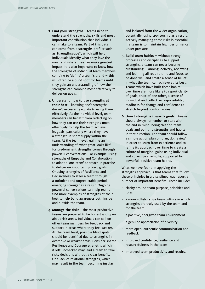- **2. Find your strengths–** teams need to understand the strengths, skills and most important contribution that individuals can make to a team. Part of this data can come from a strengths profiler such as **Strengthscope®**, which will help individuals identify what they love the most and where they can make greatest impact. It is also important to know how the strengths of individual team members combine to 'define' a team's brand – this will often be a blind spot for teams until they gain an understanding of how their strengths can combine most effectively to deliver on goals.
- **3. Understand how to use strengths at their best–** knowing one's strengths doesn't necessarily equate to using them effectively. At the individual level, team members can benefit from reflecting on how they can use their strengths most effectively to help the team achieve its goals, particularly where they have a strength in short supply within the team. At the team level, gaining an understanding of 'what great looks like' for predominant strengths comes through powerful conversations. For example, using strengths of Empathy and Collaboration to adopt a 'one team' approach in practice to deliver on important project goals. Or using strengths of Resilience and Decisiveness to steer a team through a turbulent and unpredictable period, emerging stronger as a result. Ongoing powerful conversations can help teams find more examples of strengths at their best to help build awareness both inside and outside the team.
- **4. Manage the risks–** the most productive teams are prepared to be honest and open about risk areas. Individuals can call on other team members for feedback and support in areas where they feel weaker. At the team level, possible blind spots should be identified due to strengths in overdrive or weaker areas. Consider shared Resilience and Courage strengths which if left unchecked may lead a team to take risky decisions without a clear benefit. Or a lack of relational strengths, which may result in the team becoming insular

and isolated from the wider organization, potentially losing sponsorship as a result. Actively managing these risks is essential if a team is to maintain high performance under pressure.

- **5. Build team habits –** without strong processes and disciplines to support strengths, a team can never become outstanding. Planning, delivery, reviewing and learning all require time and focus to be done well and create a sense of belief in what the team can achieve at its best. Teams which have built these habits over time are more likely to report clarity of goals, trust of one other, a sense of individual and collective responsibility, readiness for change and confidence to stretch beyond comfort zones.
- **6. Direct strengths towards goals–** teams should always remember to start with the end in mind: being clear on team goals and pointing strengths and habits in that direction. The team should follow a simple action plan of 'plan, do, review' in order to learn from experience and to refine its approach over time to create a culture of marginal gains using individual and collective strengths, supported by powerful, positive team habits.

What we have found in applying the strengths approach is that teams that follow these principles in a disciplined way report a number of important benefits. These include:

- clarity around team purpose, priorities and roles
- a more collaborative team culture in which strengths are truly used by the team and for the team
- a positive, energized team environment
- a genuine appreciation of diversity
- more open, authentic communication and feedback
- improved confidence, resilience and resourcefulness in the team
- improved team productivity and results.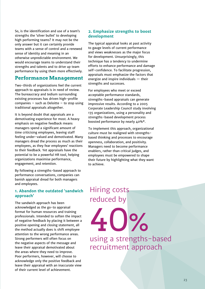So, is the identification and use of a team's strengths the 'silver bullet' to developing high performing teams? It may not be the only answer but it can certainly provide teams with a sense of control and a renewed sense of identity and meaning in an otherwise unpredictable environment. We would encourage teams to understand their strengths and talents and to drive up team performance by using them more effectively.

#### **Performance Management**

Two-thirds of organizations feel the current approach to appraisals is in need of review. The bureaucracy and tedium surrounding existing processes has driven high-profile companies  $-$  such as Deloitte  $-$  to stop using traditional appraisals altogether.

It is beyond doubt that appraisals are a demotivating experience for most. A heavy emphasis on negative feedback means managers spend a significant amount of time criticising employees, leaving staff feeling under-valued and demotivated. Many managers dread the process as much as their employees, as they fear employees' reactions to their feedback. Yet appraisals have the potential to be a powerful HR tool, helping organizations maximise performance, engagement, and retention.

By following a strengths-based approach to performance conversations, companies can banish appraisal dread for both managers and employees.

#### **1. Abandon the outdated 'sandwich approach'**

The sandwich approach has been acknowledged as the go-to appraisal format for human resources and training professionals. Intended to soften the impact of negative feedback by placing it between a positive opening and closing statement, all the method actually does is shift employee attention to the wrong performance areas. Strong performers will often focus on the negative aspects of the message and leave their appraisal demotivated about the areas where they need to improve. Poor performers, however, will choose to acknowledge only the positive feedback and leave their appraisal with an inaccurate view of their current level of achievement.

#### **2. Emphasize strengths to boost development**

The typical appraisal looks at past activity to gauge levels of current performance and views weaknesses as the major focus for development. Unsurprisingly, this technique has a tendency to undermine efforts to enhance performance and damage self-confidence. To facilitate progression, appraisals must emphasize the factors that energize and inspire individuals — their strengths and successes.

For employees who meet or exceed acceptable performance standards, strengths-based appraisals can generate impressive results. According to a 2005 Corporate Leadership Council study involving 135 organizations, using a personality and strengths-based development process boosted performance by nearly 40%\*.

To implement this approach, organizational culture must be realigned with strengthsbased thinking and processes to encourage openness, collaboration, and positivity. Managers need to become performance enablers, rather than critical judges, and employees must be empowered to shape their future by highlighting what they want to achieve.

# Hiring costs reduced by

40%

using a strengths-based recruitment approach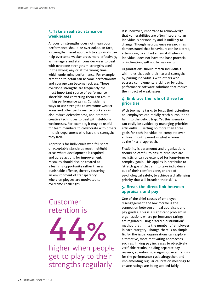#### **3. Take a realistic stance on weaknesses**

A focus on strengths does not mean poor performance should be overlooked. In fact, a strengths-based approach to appraisals can help overcome weaker areas more effectively, as managers and staff consider ways to deal with overdone strengths – strengths used in the wrong way or at the wrong time  $$ which undermine performance. For example, attention to detail can become perfectionism and courage can become reckless. These overdone strengths are frequently the most important source of performance shortfalls and correcting them can result in big performance gains. Considering ways to use strengths to overcome weaker areas and other performance blockers can also reduce defensiveness, and promote creative techniques to deal with stubborn weaknesses. For example, it may be useful for team members to collaborate with others in their department who have the strengths they lack.

Appraisals for individuals who fall short of acceptable standards must highlight areas where development is required and agree actions for improvement. Mistakes should also be treated as a learning opportunity rather than a punishable offence, thereby fostering an environment of transparency, where employees are motivated to overcome challenges.

### Customer retention is



higher when people get to play to their strengths regularly

It is, however, important to acknowledge that vulnerabilities are often integral to an individual's personality and is unlikely to change. Though neuroscience research has demonstrated that behaviours can be altered, attempting to embed a new skill when an individual does not have the base potential or inclination, will not be successful.

Organizations should match individuals with roles that suit their natural strengths by pairing individuals with others who possess complementary skills or by using performance software solutions that reduce the impact of weaknesses.

#### **4. Embrace the rule of three for priorities**

With too many tasks to focus their attention on, employees can rapidly reach burnout and fall into the deficit trap. Yet this scenario can easily be avoided by managing priorities efficiently — setting no more than three goals for each individual to complete over a three-month period in what is known as the " $3 \times 3$ " approach.

Flexibility is paramount and organizations should be careful to ensure timelines are realistic or can be extended for long-term or complex goals. This applies in particular to 'stretch goals' that aim to take individuals out of their comfort zone, or area of psychological safety, to achieve a challenging priority that will broaden their skills.

#### **5. Break the direct link between appraisals and pay**

One of the chief causes of employee disengagement and low morale is the connection between annual appraisals and pay grades. This is a significant problem in organizations where performance ratings are regulated using a 'forced distribution' method that limits the number of employees in each category. Though there is no simple fix for the issue, organizations can explore alternative, more motivating approaches such as: linking pay increases to objectively verifiable results, holding separate pay reviews, abandoning assigning overall ratings for the performance cycle altogether, and implementing regular calibration meetings to ensure ratings are being applied fairly.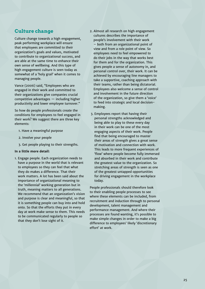#### **Culture change**

Culture change towards a high engagement, peak performing workplace will ensure that employees are committed to their organization's goals and values, motivated to contribute to organizational success, and are able at the same time to enhance their own sense of wellbeing. And this type of high engagement culture is seen today as somewhat of a 'holy grail' when it comes to managing people.

Vance (2006) said, "Employees who are engaged in their work and committed to their organizations give companies crucial competitive advantages — including higher productivity and lower employee turnover."

So how do people professionals create the conditions for employees to feel engaged in their work? We suggest there are three key elements:

- 1. Have a meaningful purpose
- 2. Involve your people
- 3. Get people playing to their strengths.

#### **In a little more detail:**

1. Engage people. Each organization needs to have a purpose in the world that is relevant to employees so they can feel that what they do makes a difference. That their work matters. A lot has been said about the importance of organizational meaning to the 'millennial' working generation but in truth, meaning matters to all generations. We recommend that an organization's vision and purpose is clear and meaningful, so that it is something people can buy into and hold onto. So that the efforts they put in every day at work make sense to them. This needs to be communicated regularly to people so that they don't lose sight of it.

- 2. Almost all research on high engagement cultures describes the importance of people's involvement with their work – both from an organizational point of view and from a role point of view. So employees need to feel empowered to do their jobs in the way that works best for them and for the organization. This gives people a sense of autonomy in, and personal control over, their work. It can be achieved by encouraging line managers to take a supportive, coaching approach with their teams, rather than being dictatorial. Employees also welcome a sense of control and involvement in the future direction of the organization, so give them a 'voice' to feed into strategic and local decisionmaking.
- 3. Employees report that having their personal strengths acknowledged and being able to play to these every day in their work can be one of the most engaging aspects of their work. People find that being encouraged to master their areas of strength gives a great sense of motivation and connection with work. This leads to more frequent experiences of 'flow' where people become fully immersed and absorbed in their work and contribute the greatest value to the organization. So stretching areas of strength is seen as one of the greatest untapped opportunities for driving engagement in the workplace today.

People professionals should therefore look to their enabling people processes to see where these elements can be included, from recruitment and induction through to personal development, talent management and performance management. And where their processes are found wanting, it's possible to make simple changes in order to make a big difference to employees' likely 'discretionary effort' at work.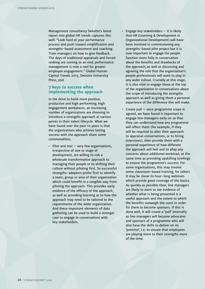Management consultancy Deloitte's latest report into global HR trends captures this well: "Look hard at your performance process and push toward simplification and strengths-based assessment and coaching. Train managers on how to give feedback. The days of traditional appraisals and forced ranking are coming to an end; performance management is now a tool for greater employee engagement." Global Human Capital Trends 2015, Deloitte University Press, p56

#### **7 keys to success when implementing the approach**

In the drive to build more positive, productive and high performing, high engagement workplaces, an increasing number of organizations are choosing to introduce a strengths approach at various points in their talent lifecycle. What we have found over the past 10 years is that the organizations who achieve lasting success with the approach share some commonalities.

• Pilot and test – very few organizations, irrespective of size or stage of development, are willing to risk a wholesale transformative approach to managing their people or to shifting their culture without piloting first. So successful strengths-adopters prefer first to identify a team, group or area of their organization which could benefit in a tangible way from piloting the approach. This provides early evidence of the efficacy of the approach, as well as providing learning as to how the approach may need to be tailored to the requirements of the wider organization. And these important elements of data gathering can be used to build a stronger case to engage in conversations with key stakeholders.

- Engage key stakeholders  $-$  it is likely that HR (Learning & Development or Organizational Development) will have been involved in commissioning any strengths-based pilot project but it is now important to engage the people function more fully in conversation about the benefits and drawbacks of the approach, as well as discussing and agreeing the role that the organization's people professionals will want to play in any wider rollout. Crucially at this stage, it is also vital to engage those at the top of the organization in conversations about the scope of introducing the strengths approach as well as giving them a personal experience of the difference this will make.
- Create pull once programme scope is agreed, we have found it important to engage line managers early on so that they can understand how any programme will affect them (for example, if they will be required to alter their approach to appraisal conversations, or to hiring interviews), then provide them with a personal experience of how different the approach will feel and to allay any concerns about additional workload, at the same time as providing upskilling briefings to ensure the programme's success. For some organizations, this may involve some classroom-based training, for others it may be closer to hour-long webinars which provide good coverage of the basics. As quickly as possible then, line managers are likely to want to see evidence of whether what is being presented is a useful approach and the extent to which the benefits outweigh the costs in order for them to become sponsors. If this is done well, it will create a 'pull' internally as line managers will become advocates and sponsors of a programme who will also have the skills to deliver on its 'promise', i.e. to ensure that employees are playing more to their strengths more of the time.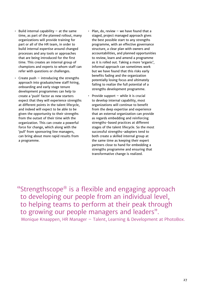- $\cdot$  Build internal capability  $-$  at the same time, as part of the planned rollout, many organizations will provide training for part or all of the HR team, in order to build internal expertise around changed processes and any tools or approaches that are being introduced for the first time. This creates an internal group of champions and experts to whom staff can refer with questions or challenges.
- Create push  $-$  introducing the strengths approach into graduate/new staff hiring, onboarding and early stage tenure development programmes can help to create a 'push' factor as new starters expect that they will experience strengths at different points in the talent lifecycle, and indeed will expect to be able to be given the opportunity to their strengths from the outset of their time with the organization. This can create a powerful force for change, which along with the 'pull' from sponsoring line managers, can bring about more rapid results from a programme.
- Plan, do, review  $-$  we have found that a staged, project managed approach gives the best possible start to any strengths programme, with an effective governance structure, a clear plan with owners and accountabilities, and planned opportunities to review, learn and amend a programme as it is rolled out. Taking a more 'organic', informal approach can sometimes work but we have found that this risks early benefits fading and the organization potentially losing focus and ultimately failing to realize the full potential of a strengths development programme.
- Provide support  $-$  while it is crucial to develop internal capability, most organizations will continue to benefit from the deep expertise and experience that an external organization can provide as regards embedding and reinforcing strengths-based practices at different stages of the talent lifecycle. So the most successful strengths-adopters tend to both create a skilled internal group at the same time as keeping their expert partners close to hand for embedding a strengths programme and ensuring that transformative change is realized.

"Strengthscope® is a flexible and engaging approach to developing our people from an individual level, to helping teams to perform at their peak through to growing our people managers and leaders". Monique Knaappen, HR Manager – Talent, Learning & Development at PhotoBox.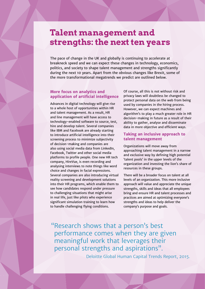### **Talent management and strengths: the next ten years**

The pace of change in the UK and globally is continuing to accelerate at breakneck speed and we can expect these changes in technology, economics, politics, and society to shape talent management and strengths significantly during the next 10 years. Apart from the obvious changes like Brexit, some of the more transformational megatrends we predict are outlined below.

#### **More focus on analytics and application of artificial intelligence**

Advances in digital technology will give rise to a whole host of opportunities within HR and talent management. As a result, HR and line management will have access to technology-enabled software to source, test, hire and develop talent. Several companies like IBM and Facebook are already starting to introduce artificial intelligence into their screening process to minimize subjectivity of decision-making and companies are also using social media data from LinkedIn, Facebook, Twitter and other social media platforms to profile people. One new HR tech company, HireVue, is even recording and analysing interviews to note things like word choice and changes in facial expressions. Several companies are also introducing virtual reality screening and development solutions into their HR programs, which enable them to see how candidates respond under pressure to challenging situations that might arise in real life, just like pilots who experience significant simulation training to learn how to handle challenging flying conditions.

Of course, all this is not without risk and privacy laws will doubtless be changed to protect personal data on the web from being used by companies in the hiring process. However, we can expect machines and algorithm's to play a much greater role in HR decision-making in future as a result of their ability to gather, analyse and disseminate data in more objective and efficient ways.

#### **Taking an inclusive approach to talent management**

Organizations will move away from approaching talent management in a narrow and exclusive way by defining high potential 'talent pools' in the upper levels of the organization and investing the lion's share of resources in these groups.

There will be a broader focus on talent at all levels of an organization. This more inclusive approach will value and appreciate the unique strengths, skills and ideas that all employees bring and ensure HR and talent processes and practices are aimed at optimizing everyone's strengths and ideas to help deliver the company's purpose and goals.

"Research shows that a person's best performance comes when they are given meaningful work that leverages their personal strengths and aspirations".

Deloitte Global Human Capital Trends Report, 2015.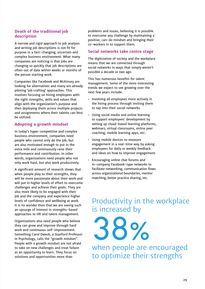#### **Death of the traditional job description**

A narrow and rigid approach to job analysis and writing job descriptions is not fit for purpose in a fast-changing, uncertain and complex business environment. What many companies are noticing is that jobs are changing so quickly that job descriptions are often out of date within weeks or months of the person starting work.

Companies like Facebook and McKinsey are looking for alternatives and many are already piloting 'job crafting' approaches. This involves focusing on hiring employees with the right strengths, skills and values that align with the organization's purpose and then deploying them across multiple projects and assignments where their talents can best be utilized.

#### **Adopting a growth mindset**

In today's hyper competitive and complex business environment, companies need people who cannot only do the job, but are also motivated enough to put in the extra mile and continuously raise their performance and contribution. In other words, organizations need people who not only work hard, but also work productively.

A significant amount of research shows that when people play to their strengths, they will be more passionate about their work and will put in higher levels of effort to overcome challenges and achieve their goals. They are also more likely to be engaged with their job and the company and experience higher levels of confidence and wellbeing at work. It is no wonder then that we are seeing such an upsurge of interest in strengths-based approaches to HR and talent management.

Organizations also need people who believe they can grow and improve through hard work and continuous self-improvement. Something Carol Dweck, a Stanford Professor in Psychology, calls the "growth mindset". People with a growth mindset are not afraid to take on new challenges and treat failure as an opportunity to learn. They focus on solutions and opportunities more than

problems and issues, believing it is possible to overcome any challenge by maintaining a positive, can-do mindset and bringing their co-workers in to support them.

#### **Social networks take centre stage**

The digitization of society and the workplace means that we are connected through social networks in ways that simply weren't possible a decade or two ago.

This has numerous benefits for talent management. Some of the more interesting trends we expect to see growing over the next few years include:

- Involving all employees more actively in the hiring process through inviting them to tap into their social networks
- Using social media and online learning to support employees' development by setting up cloud-based learning platforms, webinars, virtual classrooms, online peer coaching, mobile learning apps, etc.
- Using mobile devices to measure engagement in a real-time way by asking employees for daily or weekly feedback and ideas on how to improve engagement.
- Encouraging online chat forums and in-company Facebook-type networks to facilitate networking, communication flows across organizational boundaries, mentor matching, better practice sharing, etc.

### Productivity in the workplace is increased by

38%

when people are encouraged to optimize their strengths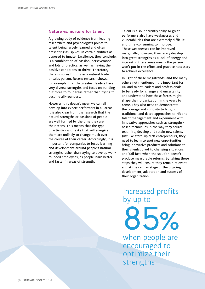#### **Nature vs. nurture for talent**

A growing body of evidence from leading researchers and psychologists points to talent being largely learned and often presenting as 'spikes' in certain abilities as opposed to innate. Excellence, they conclude, is a combination of passion, perseverance and lots of practice, as well as having the positive conditions to thrive. Therefore, there is no such thing as a natural leader or sales person. Recent research shows, for example, that the greatest leaders have very diverse strengths and focus on building out three to four areas rather than trying to become all-rounders.

However, this doesn't mean we can all develop into expert performers in all areas. It is also clear from the research that the natural strengths or passions of people are well formed by the time they are in their teens. This means that the type of activities and tasks that will energize them are unlikely to change much over the course of their career. Accordingly, it is important for companies to focus learning and development around people's natural strengths rather than trying to develop wellrounded employees, as people learn better and faster in areas of strength.

Talent is also inherently spiky so great performers also have weaknesses and vulnerabilities that are extremely difficult and time-consuming to improve. These weaknesses can be improved marginally, however, they rarely develop into great strengths as a lack of energy and interest in these areas means the person won't put in the effort and practice necessary to achieve excellence.

In light of these megatrends, and the many others not mentioned, it is important for HR and talent leaders and professionals to be ready for change and uncertainty and understand how these forces might shape their organization in the years to come. They also need to demonstrate the courage and curiosity to let go of traditional and dated approaches to HR and talent management and experiment with innovative approaches such as strengthsbased techniques in the way they source, test, hire, develop and retain new talent. Just like start-up tech entrepreneurs, they need to learn to spot new opportunities, bring innovative products and solutions to their clients, pivot to changing situations and 'fail fast' when the solution doesn't produce measurable returns. By taking these steps they will ensure they remain relevant and at the centre-stage of the ongoing development, adaptation and success of their organization.

# Increased profits by up to

85%

when people are encouraged to optimize their strengths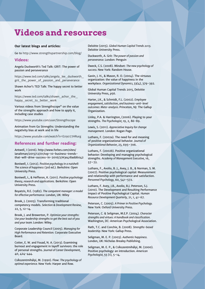### <span id="page-30-0"></span>**Videos and resources**

#### **Our latest blogs and articles:**

Go to [http://www.strengthspartnership.com/blog/](http://www.strengthspartnership.com/blog)

#### **Videos:**

Angela Duckworth's Ted Talk: GRIT: The power of passion and perseverance

[https://www.ted.com/talks/angela\\_lee\\_duckworth\\_](https://www.ted.com/talks/angela_lee_duckworth_grit_the_power_of_passion_and_perseverance) [grit\\_the\\_power\\_of\\_passion\\_and\\_perseverance](https://www.ted.com/talks/angela_lee_duckworth_grit_the_power_of_passion_and_perseverance)

Shawn Achor's TED Talk: The happy secret to better work

https://www.ted.com/talks/shawn\_achor\_the [happy\\_secret\\_to\\_better\\_work](https://www.ted.com/talks/shawn_achor_the_happy_secret_to_better_work)

Various videos from Strengthscope® on the value of the strengths approach and how to apply it, including case studies

<https://www.youtube.com/user/Strengthscope>

Animation from Go Strengths: Understanding the negativity bias at work and in life

<https://www.youtube.com/watch?v=E09077HRurg>

#### **References and further reading:**

Antwell, I (2016). [http://www.forbes.com/sites/](http://www.forbes.com/sites/ianaltman/2015/12/01/top) [ianaltman/2015/12/01/top](http://www.forbes.com/sites/ianaltman/2015/12/01/top)-10-business-trendsthat-will-drive-success-in-2016/2/#3e418add6042

Boniwell, I. (2012). *Positive psychology in a nutshell: The science of happiness* (3rd ed.). Berkshire: Open University Press.

Boniwell, I., & Hefferon, K. (2011). *Positive psychology: theory, research and applications.* Berkshire: Open University Press.

Boyatzis, R.E. (1982). *The competent manager: a model for effective performance.* London, UK: Wiley

Brook, J. (2005). Transforming traditional competency models. *Selection & Development Review,*  22, 5, 12-14.

Brook, J. and Brewerton, P. *Optimize your strengths: Use your leadership strengths to get the best out of you and your team.* London: Wiley.

Corporate Leadership Council (2005). *Managing for High Performance and Retention.* Corporate Executive Board.

Cotter, E. W. and Fouad, N. A. (2013). Examining burnout and engagement in layoff survivors: the role of personal strengths. *Journal of Career Development,* 40, 424-444.

Csíkszentmihályi, M. (1990). Flow: *The psychology of optimal experience.* New York: Harper and Row.

Deloitte (2015). *Global Human Capital Trends 2015.*  Deloitte University Press.

Duckworth, A. Grit: *The power of passion and perseverance.* London: Penguin

Dweck, C.S. (2008). Mindset: *The new psychology of success.* New York: Random House.

Gavin, J. H., & Mason, R. O. (2004). The virtuous organization: the value of happiness in the workplace. *Organizational Dynamics,* 33(4), 379-392.

Global Human Capital Trends 2015, Deloitte University Press, p56.

Harter, J.K., & Schmidt, F.L. (2002). *Employee engagement, satisfaction, and business-unit-level outcomes: Meta-analysis.* Princeton, NJ: The Gallup Organization.

Linley, P.A. & Harrington, (2006). Playing to your strengths. *The Psychologist,* 19, 2, 86-89.

Lewis, S. (2011). *Appreciative Inquiry for change management.* London: Kogan Page.

Luthans, F. (2002a). The need for and meaning of positive organizational behavior. *Journal of Organizational Behavior,* 23, 695–706.

Luthans, F. (2002b). Positive organizational behavior: Developing and managing psychological strengths. *Academy of Management Executive,* 16, 57–72.

Luthans, F., Avolio, B. J., Avey, J. B., & Norman, S. M. (2007). Positive psychological capital: Measurement and relationship with performance and satisfaction. *Personnel Psychology,* 60, 541–572.

Luthans, F. Avey, J.B., Avolio, B.J. Peterson, S.J. (2010). The Development and Resulting Performance Impact of Positive Psychological Capital. *Human Resource Development Quarterly,* 21, 1, 41-67.

Peterson, C. (2005). *A Primer in Positive Psychology.*  New York: Oxford University Press.

Peterson, C. & Seligman, M.E.P. (2004). *Character strengths and virtues: A handbook and classification.*  Washington, DC: American Psychological Association.

Rath, T.C. and Conchie, B. (2008). *Strengths-based leadership.* New York: Gallup Press.

Seligman, M. E. P. (2003). *Authentic happiness.* London, UK: Nicholas Brealey Publishing.

Seligman, M. E. P., & Csíkszentmihályi, M. (2000). Positive psychology: an introduction. *American Psychologist,* 55 (1), 5-14.